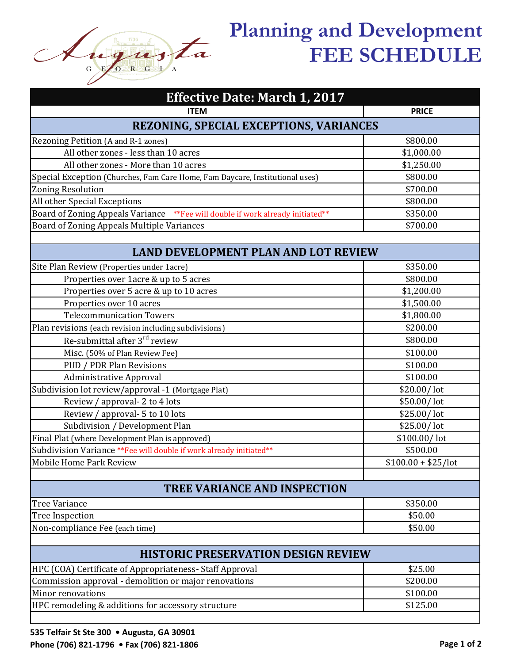

## **Planning and Development FEE SCHEDULE**

| <b>Effective Date: March 1, 2017</b>                                            |                     |  |
|---------------------------------------------------------------------------------|---------------------|--|
| <b>ITEM</b>                                                                     | <b>PRICE</b>        |  |
| <b>REZONING, SPECIAL EXCEPTIONS, VARIANCES</b>                                  |                     |  |
| Rezoning Petition (A and R-1 zones)                                             | \$800.00            |  |
| All other zones - less than 10 acres                                            | \$1,000.00          |  |
| All other zones - More than 10 acres                                            | \$1,250.00          |  |
| Special Exception (Churches, Fam Care Home, Fam Daycare, Institutional uses)    | \$800.00            |  |
| <b>Zoning Resolution</b>                                                        | \$700.00            |  |
| All other Special Exceptions                                                    | \$800.00            |  |
| Board of Zoning Appeals Variance ** Fee will double if work already initiated** | \$350.00            |  |
| Board of Zoning Appeals Multiple Variances                                      | \$700.00            |  |
|                                                                                 |                     |  |
| <b>LAND DEVELOPMENT PLAN AND LOT REVIEW</b>                                     |                     |  |
| Site Plan Review (Properties under 1acre)                                       | \$350.00            |  |
| Properties over 1acre & up to 5 acres                                           | \$800.00            |  |
| Properties over 5 acre & up to 10 acres                                         | \$1,200.00          |  |
| Properties over 10 acres                                                        | \$1,500.00          |  |
| <b>Telecommunication Towers</b>                                                 | \$1,800.00          |  |
| Plan revisions (each revision including subdivisions)                           | \$200.00            |  |
| Re-submittal after 3 <sup>rd</sup> review                                       | \$800.00            |  |
| Misc. (50% of Plan Review Fee)                                                  | \$100.00            |  |
| PUD / PDR Plan Revisions                                                        | \$100.00            |  |
| <b>Administrative Approval</b>                                                  | \$100.00            |  |
| Subdivision lot review/approval -1 (Mortgage Plat)                              | \$20.00/lot         |  |
| Review / approval- 2 to 4 lots                                                  | \$50.00/lot         |  |
| Review / approval- 5 to 10 lots                                                 | \$25.00/lot         |  |
| Subdivision / Development Plan                                                  | \$25.00/lot         |  |
| Final Plat (where Development Plan is approved)                                 | \$100.00/lot        |  |
| Subdivision Variance ** Fee will double if work already initiated **            | \$500.00            |  |
| Mobile Home Park Review                                                         | $$100.00 + $25/lot$ |  |
| <b>TREE VARIANCE AND INSPECTION</b>                                             |                     |  |
| <b>Tree Variance</b>                                                            | \$350.00            |  |
| <b>Tree Inspection</b>                                                          | \$50.00             |  |
| Non-compliance Fee (each time)                                                  | \$50.00             |  |
|                                                                                 |                     |  |
| <b>HISTORIC PRESERVATION DESIGN REVIEW</b>                                      |                     |  |
| HPC (COA) Certificate of Appropriateness- Staff Approval                        | \$25.00             |  |
| Commission approval - demolition or major renovations                           | \$200.00            |  |
| Minor renovations                                                               | \$100.00            |  |
| HPC remodeling & additions for accessory structure                              | \$125.00            |  |
|                                                                                 |                     |  |